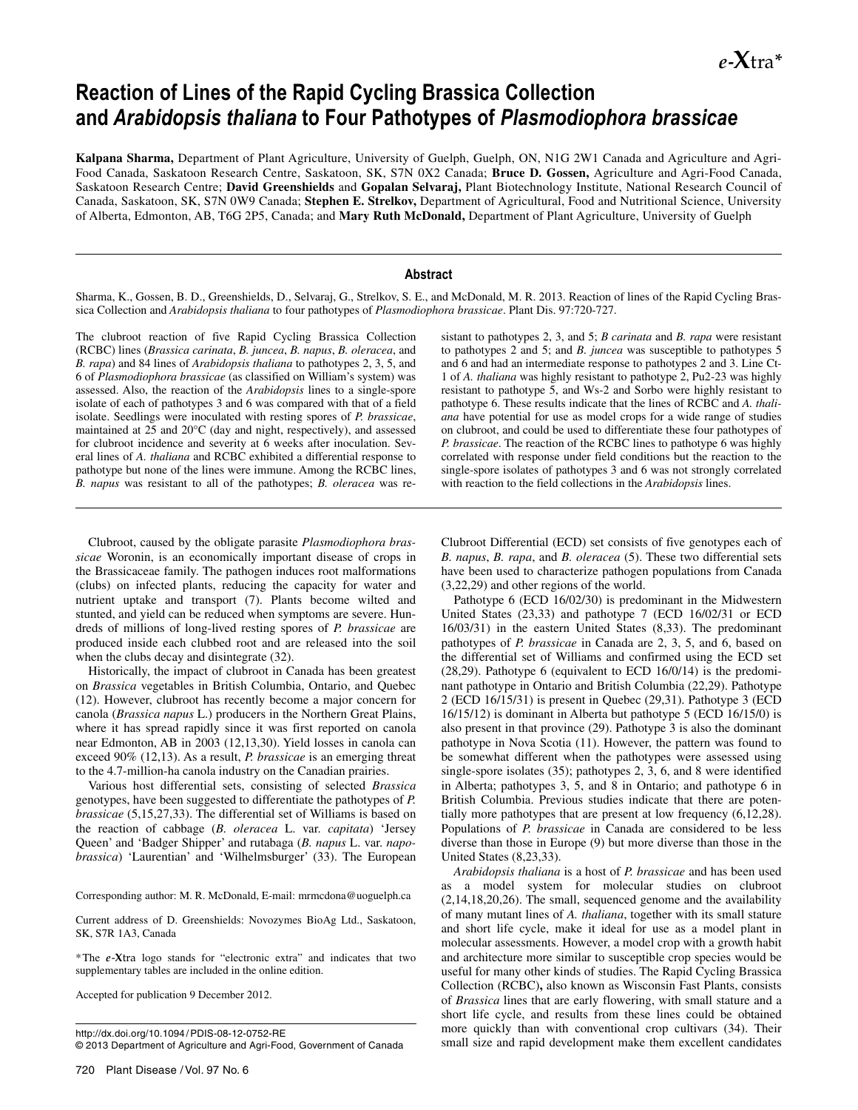*e***-X**tra**\***

# **Reaction of Lines of the Rapid Cycling Brassica Collection and** *Arabidopsis thaliana* **to Four Pathotypes of** *Plasmodiophora brassicae*

**Kalpana Sharma,** Department of Plant Agriculture, University of Guelph, Guelph, ON, N1G 2W1 Canada and Agriculture and Agri-Food Canada, Saskatoon Research Centre, Saskatoon, SK, S7N 0X2 Canada; **Bruce D. Gossen,** Agriculture and Agri-Food Canada, Saskatoon Research Centre; **David Greenshields** and **Gopalan Selvaraj,** Plant Biotechnology Institute, National Research Council of Canada, Saskatoon, SK, S7N 0W9 Canada; **Stephen E. Strelkov,** Department of Agricultural, Food and Nutritional Science, University of Alberta, Edmonton, AB, T6G 2P5, Canada; and **Mary Ruth McDonald,** Department of Plant Agriculture, University of Guelph

#### **Abstract**

Sharma, K., Gossen, B. D., Greenshields, D., Selvaraj, G., Strelkov, S. E., and McDonald, M. R. 2013. Reaction of lines of the Rapid Cycling Brassica Collection and *Arabidopsis thaliana* to four pathotypes of *Plasmodiophora brassicae*. Plant Dis. 97:720-727.

The clubroot reaction of five Rapid Cycling Brassica Collection (RCBC) lines (*Brassica carinata*, *B. juncea*, *B. napus*, *B. oleracea*, and *B. rapa*) and 84 lines of *Arabidopsis thaliana* to pathotypes 2, 3, 5, and 6 of *Plasmodiophora brassicae* (as classified on William's system) was assessed. Also, the reaction of the *Arabidopsis* lines to a single-spore isolate of each of pathotypes 3 and 6 was compared with that of a field isolate. Seedlings were inoculated with resting spores of *P. brassicae*, maintained at 25 and 20°C (day and night, respectively), and assessed for clubroot incidence and severity at 6 weeks after inoculation. Several lines of *A. thaliana* and RCBC exhibited a differential response to pathotype but none of the lines were immune. Among the RCBC lines, *B. napus* was resistant to all of the pathotypes; *B. oleracea* was re-

Clubroot, caused by the obligate parasite *Plasmodiophora brassicae* Woronin, is an economically important disease of crops in the Brassicaceae family. The pathogen induces root malformations (clubs) on infected plants, reducing the capacity for water and nutrient uptake and transport (7). Plants become wilted and stunted, and yield can be reduced when symptoms are severe. Hundreds of millions of long-lived resting spores of *P. brassicae* are produced inside each clubbed root and are released into the soil when the clubs decay and disintegrate (32).

Historically, the impact of clubroot in Canada has been greatest on *Brassica* vegetables in British Columbia, Ontario, and Quebec (12). However, clubroot has recently become a major concern for canola (*Brassica napus* L.) producers in the Northern Great Plains, where it has spread rapidly since it was first reported on canola near Edmonton, AB in 2003 (12,13,30). Yield losses in canola can exceed 90% (12,13). As a result, *P. brassicae* is an emerging threat to the 4.7-million-ha canola industry on the Canadian prairies.

Various host differential sets, consisting of selected *Brassica* genotypes, have been suggested to differentiate the pathotypes of *P. brassicae* (5,15,27,33). The differential set of Williams is based on the reaction of cabbage (*B. oleracea* L. var. *capitata*) 'Jersey Queen' and 'Badger Shipper' and rutabaga (*B. napus* L. var. *napobrassica*) 'Laurentian' and 'Wilhelmsburger' (33). The European

Corresponding author: M. R. McDonald, E-mail: mrmcdona@uoguelph.ca

Current address of D. Greenshields: Novozymes BioAg Ltd., Saskatoon, SK, S7R 1A3, Canada

\*The *e*-**X**tra logo stands for "electronic extra" and indicates that two supplementary tables are included in the online edition.

Accepted for publication 9 December 2012.

sistant to pathotypes 2, 3, and 5; *B carinata* and *B. rapa* were resistant to pathotypes 2 and 5; and *B. juncea* was susceptible to pathotypes 5 and 6 and had an intermediate response to pathotypes 2 and 3. Line Ct-1 of *A. thaliana* was highly resistant to pathotype 2, Pu2-23 was highly resistant to pathotype 5, and Ws-2 and Sorbo were highly resistant to pathotype 6. These results indicate that the lines of RCBC and *A. thaliana* have potential for use as model crops for a wide range of studies on clubroot, and could be used to differentiate these four pathotypes of *P. brassicae*. The reaction of the RCBC lines to pathotype 6 was highly correlated with response under field conditions but the reaction to the single-spore isolates of pathotypes 3 and 6 was not strongly correlated with reaction to the field collections in the *Arabidopsis* lines.

Clubroot Differential (ECD) set consists of five genotypes each of *B. napus*, *B. rapa*, and *B. oleracea* (5). These two differential sets have been used to characterize pathogen populations from Canada (3,22,29) and other regions of the world.

Pathotype 6 (ECD 16/02/30) is predominant in the Midwestern United States (23,33) and pathotype 7 (ECD 16/02/31 or ECD 16/03/31) in the eastern United States (8,33). The predominant pathotypes of *P. brassicae* in Canada are 2, 3, 5, and 6, based on the differential set of Williams and confirmed using the ECD set (28,29). Pathotype 6 (equivalent to ECD 16/0/14) is the predominant pathotype in Ontario and British Columbia (22,29). Pathotype 2 (ECD 16/15/31) is present in Quebec (29,31). Pathotype 3 (ECD 16/15/12) is dominant in Alberta but pathotype 5 (ECD 16/15/0) is also present in that province (29). Pathotype 3 is also the dominant pathotype in Nova Scotia (11). However, the pattern was found to be somewhat different when the pathotypes were assessed using single-spore isolates (35); pathotypes 2, 3, 6, and 8 were identified in Alberta; pathotypes 3, 5, and 8 in Ontario; and pathotype 6 in British Columbia. Previous studies indicate that there are potentially more pathotypes that are present at low frequency (6,12,28). Populations of *P. brassicae* in Canada are considered to be less diverse than those in Europe (9) but more diverse than those in the United States (8,23,33).

*Arabidopsis thaliana* is a host of *P. brassicae* and has been used as a model system for molecular studies on clubroot (2,14,18,20,26). The small, sequenced genome and the availability of many mutant lines of *A. thaliana*, together with its small stature and short life cycle, make it ideal for use as a model plant in molecular assessments. However, a model crop with a growth habit and architecture more similar to susceptible crop species would be useful for many other kinds of studies. The Rapid Cycling Brassica Collection (RCBC)**,** also known as Wisconsin Fast Plants, consists of *Brassica* lines that are early flowering, with small stature and a short life cycle, and results from these lines could be obtained more quickly than with conventional crop cultivars (34). Their small size and rapid development make them excellent candidates

http://dx.doi.org/10.1094/ PDIS-08-12-0752-RE © 2013 Department of Agriculture and Agri-Food, Government of Canada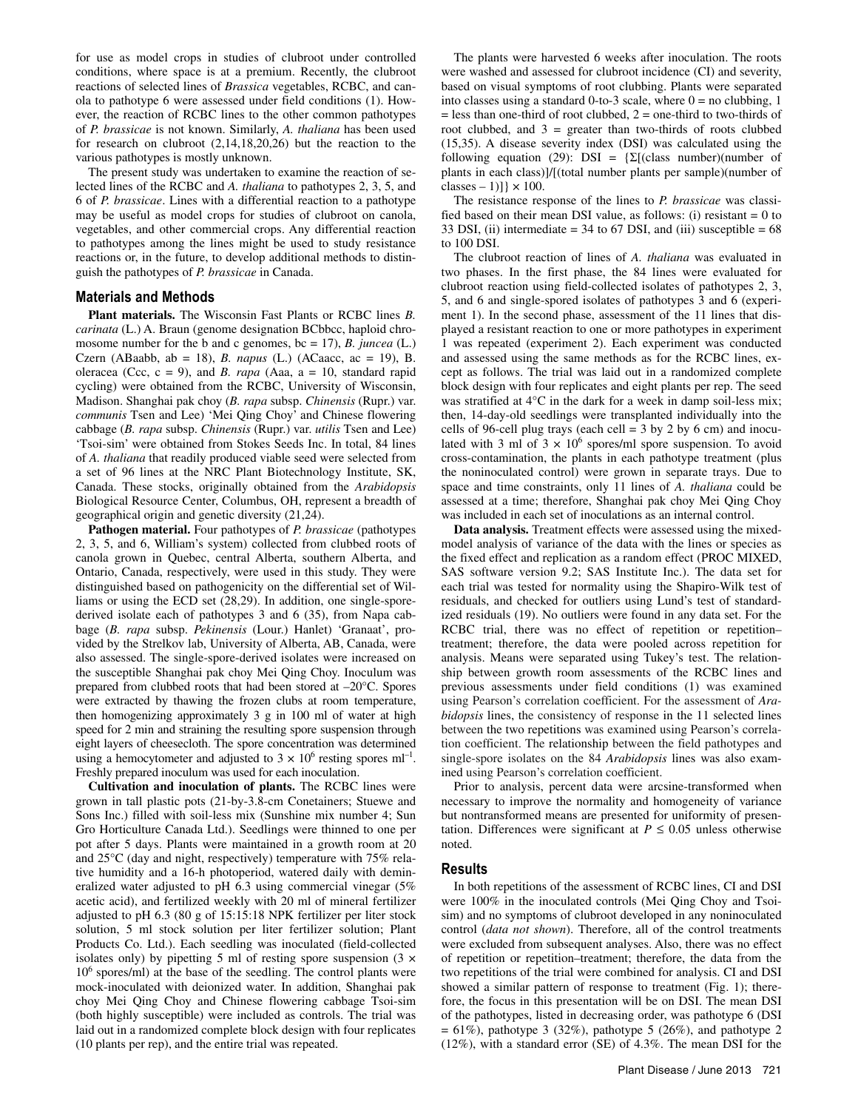for use as model crops in studies of clubroot under controlled conditions, where space is at a premium. Recently, the clubroot reactions of selected lines of *Brassica* vegetables, RCBC, and canola to pathotype 6 were assessed under field conditions (1). However, the reaction of RCBC lines to the other common pathotypes of *P. brassicae* is not known. Similarly, *A. thaliana* has been used for research on clubroot (2,14,18,20,26) but the reaction to the various pathotypes is mostly unknown.

The present study was undertaken to examine the reaction of selected lines of the RCBC and *A. thaliana* to pathotypes 2, 3, 5, and 6 of *P. brassicae*. Lines with a differential reaction to a pathotype may be useful as model crops for studies of clubroot on canola, vegetables, and other commercial crops. Any differential reaction to pathotypes among the lines might be used to study resistance reactions or, in the future, to develop additional methods to distinguish the pathotypes of *P. brassicae* in Canada.

### **Materials and Methods**

**Plant materials.** The Wisconsin Fast Plants or RCBC lines *B. carinata* (L.) A. Braun (genome designation BCbbcc, haploid chromosome number for the b and c genomes, bc = 17), *B. juncea* (L.) Czern (ABaabb, ab = 18), *B. napus* (L.) (ACaacc, ac = 19), B. oleracea (Ccc, c = 9), and *B. rapa* (Aaa, a = 10, standard rapid cycling) were obtained from the RCBC, University of Wisconsin, Madison. Shanghai pak choy (*B. rapa* subsp. *Chinensis* (Rupr.) var. *communis* Tsen and Lee) 'Mei Qing Choy' and Chinese flowering cabbage (*B. rapa* subsp. *Chinensis* (Rupr.) var. *utilis* Tsen and Lee) 'Tsoi-sim' were obtained from Stokes Seeds Inc. In total, 84 lines of *A. thaliana* that readily produced viable seed were selected from a set of 96 lines at the NRC Plant Biotechnology Institute, SK, Canada. These stocks, originally obtained from the *Arabidopsis* Biological Resource Center, Columbus, OH, represent a breadth of geographical origin and genetic diversity (21,24).

**Pathogen material.** Four pathotypes of *P. brassicae* (pathotypes 2, 3, 5, and 6, William's system) collected from clubbed roots of canola grown in Quebec, central Alberta, southern Alberta, and Ontario, Canada, respectively, were used in this study. They were distinguished based on pathogenicity on the differential set of Williams or using the ECD set (28,29). In addition, one single-sporederived isolate each of pathotypes 3 and 6 (35), from Napa cabbage (*B. rapa* subsp. *Pekinensis* (Lour.) Hanlet) 'Granaat', provided by the Strelkov lab, University of Alberta, AB, Canada, were also assessed. The single-spore-derived isolates were increased on the susceptible Shanghai pak choy Mei Qing Choy. Inoculum was prepared from clubbed roots that had been stored at –20°C. Spores were extracted by thawing the frozen clubs at room temperature, then homogenizing approximately 3 g in 100 ml of water at high speed for 2 min and straining the resulting spore suspension through eight layers of cheesecloth. The spore concentration was determined using a hemocytometer and adjusted to  $3 \times 10^6$  resting spores ml<sup>-1</sup>. Freshly prepared inoculum was used for each inoculation.

**Cultivation and inoculation of plants.** The RCBC lines were grown in tall plastic pots (21-by-3.8-cm Conetainers; Stuewe and Sons Inc.) filled with soil-less mix (Sunshine mix number 4; Sun Gro Horticulture Canada Ltd.). Seedlings were thinned to one per pot after 5 days. Plants were maintained in a growth room at 20 and 25°C (day and night, respectively) temperature with 75% relative humidity and a 16-h photoperiod, watered daily with demineralized water adjusted to pH 6.3 using commercial vinegar (5% acetic acid), and fertilized weekly with 20 ml of mineral fertilizer adjusted to pH 6.3 (80 g of 15:15:18 NPK fertilizer per liter stock solution, 5 ml stock solution per liter fertilizer solution; Plant Products Co. Ltd.). Each seedling was inoculated (field-collected isolates only) by pipetting 5 ml of resting spore suspension  $(3 \times$ 106 spores/ml) at the base of the seedling. The control plants were mock-inoculated with deionized water. In addition, Shanghai pak choy Mei Qing Choy and Chinese flowering cabbage Tsoi-sim (both highly susceptible) were included as controls. The trial was laid out in a randomized complete block design with four replicates (10 plants per rep), and the entire trial was repeated.

The plants were harvested 6 weeks after inoculation. The roots were washed and assessed for clubroot incidence (CI) and severity, based on visual symptoms of root clubbing. Plants were separated into classes using a standard 0-to-3 scale, where  $0 =$  no clubbing, 1  $=$  less than one-third of root clubbed,  $2 =$  one-third to two-thirds of root clubbed, and  $3 =$  greater than two-thirds of roots clubbed (15,35). A disease severity index (DSI) was calculated using the following equation (29): DSI =  $\{\Sigma[(\text{class number})(\text{number of})]\}$ plants in each class)]/[(total number plants per sample)(number of classes – 1)] $\} \times 100$ .

The resistance response of the lines to *P. brassicae* was classified based on their mean DSI value, as follows: (i) resistant  $= 0$  to 33 DSI, (ii) intermediate  $=$  34 to 67 DSI, and (iii) susceptible  $=$  68 to 100 DSI.

The clubroot reaction of lines of *A. thaliana* was evaluated in two phases. In the first phase, the 84 lines were evaluated for clubroot reaction using field-collected isolates of pathotypes 2, 3, 5, and 6 and single-spored isolates of pathotypes 3 and 6 (experiment 1). In the second phase, assessment of the 11 lines that displayed a resistant reaction to one or more pathotypes in experiment 1 was repeated (experiment 2). Each experiment was conducted and assessed using the same methods as for the RCBC lines, except as follows. The trial was laid out in a randomized complete block design with four replicates and eight plants per rep. The seed was stratified at 4°C in the dark for a week in damp soil-less mix; then, 14-day-old seedlings were transplanted individually into the cells of 96-cell plug trays (each cell  $=$  3 by 2 by 6 cm) and inoculated with 3 ml of  $3 \times 10^6$  spores/ml spore suspension. To avoid cross-contamination, the plants in each pathotype treatment (plus the noninoculated control) were grown in separate trays. Due to space and time constraints, only 11 lines of *A. thaliana* could be assessed at a time; therefore, Shanghai pak choy Mei Qing Choy was included in each set of inoculations as an internal control.

**Data analysis.** Treatment effects were assessed using the mixedmodel analysis of variance of the data with the lines or species as the fixed effect and replication as a random effect (PROC MIXED, SAS software version 9.2; SAS Institute Inc.). The data set for each trial was tested for normality using the Shapiro-Wilk test of residuals, and checked for outliers using Lund's test of standardized residuals (19). No outliers were found in any data set. For the RCBC trial, there was no effect of repetition or repetitiontreatment; therefore, the data were pooled across repetition for analysis. Means were separated using Tukey's test. The relationship between growth room assessments of the RCBC lines and previous assessments under field conditions (1) was examined using Pearson's correlation coefficient. For the assessment of *Arabidopsis* lines, the consistency of response in the 11 selected lines between the two repetitions was examined using Pearson's correlation coefficient. The relationship between the field pathotypes and single-spore isolates on the 84 *Arabidopsis* lines was also examined using Pearson's correlation coefficient.

Prior to analysis, percent data were arcsine-transformed when necessary to improve the normality and homogeneity of variance but nontransformed means are presented for uniformity of presentation. Differences were significant at  $P \leq 0.05$  unless otherwise noted.

#### **Results**

In both repetitions of the assessment of RCBC lines, CI and DSI were 100% in the inoculated controls (Mei Qing Choy and Tsoisim) and no symptoms of clubroot developed in any noninoculated control (*data not shown*). Therefore, all of the control treatments were excluded from subsequent analyses. Also, there was no effect of repetition or repetition–treatment; therefore, the data from the two repetitions of the trial were combined for analysis. CI and DSI showed a similar pattern of response to treatment (Fig. 1); therefore, the focus in this presentation will be on DSI. The mean DSI of the pathotypes, listed in decreasing order, was pathotype 6 (DSI  $= 61\%$ ), pathotype 3 (32%), pathotype 5 (26%), and pathotype 2 (12%), with a standard error (SE) of 4.3%. The mean DSI for the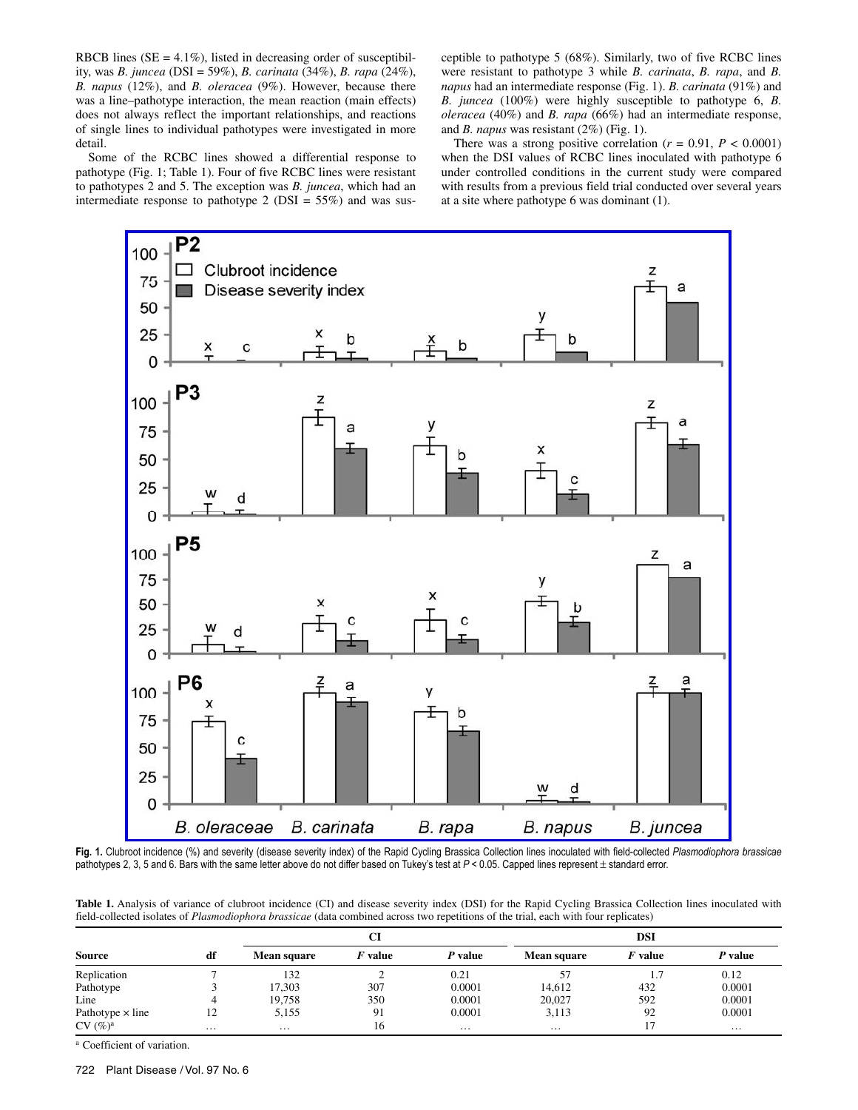RBCB lines ( $SE = 4.1\%$ ), listed in decreasing order of susceptibility, was *B. juncea* (DSI = 59%), *B. carinata* (34%), *B. rapa* (24%), *B. napus* (12%), and *B. oleracea* (9%). However, because there was a line–pathotype interaction, the mean reaction (main effects) does not always reflect the important relationships, and reactions of single lines to individual pathotypes were investigated in more detail.

Some of the RCBC lines showed a differential response to pathotype (Fig. 1; Table 1). Four of five RCBC lines were resistant to pathotypes 2 and 5. The exception was *B. juncea*, which had an intermediate response to pathotype 2 ( $DSI = 55\%$ ) and was susceptible to pathotype 5 (68%). Similarly, two of five RCBC lines were resistant to pathotype 3 while *B. carinata*, *B. rapa*, and *B. napus* had an intermediate response (Fig. 1). *B. carinata* (91%) and *B. juncea* (100%) were highly susceptible to pathotype 6, *B. oleracea* (40%) and *B. rapa* (66%) had an intermediate response, and *B. napus* was resistant (2%) (Fig. 1).

There was a strong positive correlation  $(r = 0.91, P < 0.0001)$ when the DSI values of RCBC lines inoculated with pathotype 6 under controlled conditions in the current study were compared with results from a previous field trial conducted over several years at a site where pathotype 6 was dominant (1).



**Fig. 1.** Clubroot incidence (%) and severity (disease severity index) of the Rapid Cycling Brassica Collection lines inoculated with field-collected *Plasmodiophora brassicae* pathotypes 2, 3, 5 and 6. Bars with the same letter above do not differ based on Tukey's test at  $P < 0.05$ . Capped lines represent ± standard error.

**Table 1.** Analysis of variance of clubroot incidence (CI) and disease severity index (DSI) for the Rapid Cycling Brassica Collection lines inoculated with field-collected isolates of *Plasmodiophora brassicae* (data combined across two repetitions of the trial, each with four replicates)

| <b>Source</b>           | df       | CI                 |         |          | DSI                |                |          |  |
|-------------------------|----------|--------------------|---------|----------|--------------------|----------------|----------|--|
|                         |          | <b>Mean square</b> | F value | P value  | <b>Mean square</b> | <i>F</i> value | P value  |  |
| Replication             |          | 132                |         | 0.21     | 57                 |                | 0.12     |  |
| Pathotype               |          | 17.303             | 307     | 0.0001   | 14,612             | 432            | 0.0001   |  |
| Line                    | 4        | 19.758             | 350     | 0.0001   | 20,027             | 592            | 0.0001   |  |
| Pathotype $\times$ line | 12       | 5,155              | 91      | 0.0001   | 3,113              | 92             | 0.0001   |  |
| $CV(%)^a$               | $\cdots$ | $\cdots$           | 16      | $\cdots$ | .                  |                | $\cdots$ |  |

a Coefficient of variation.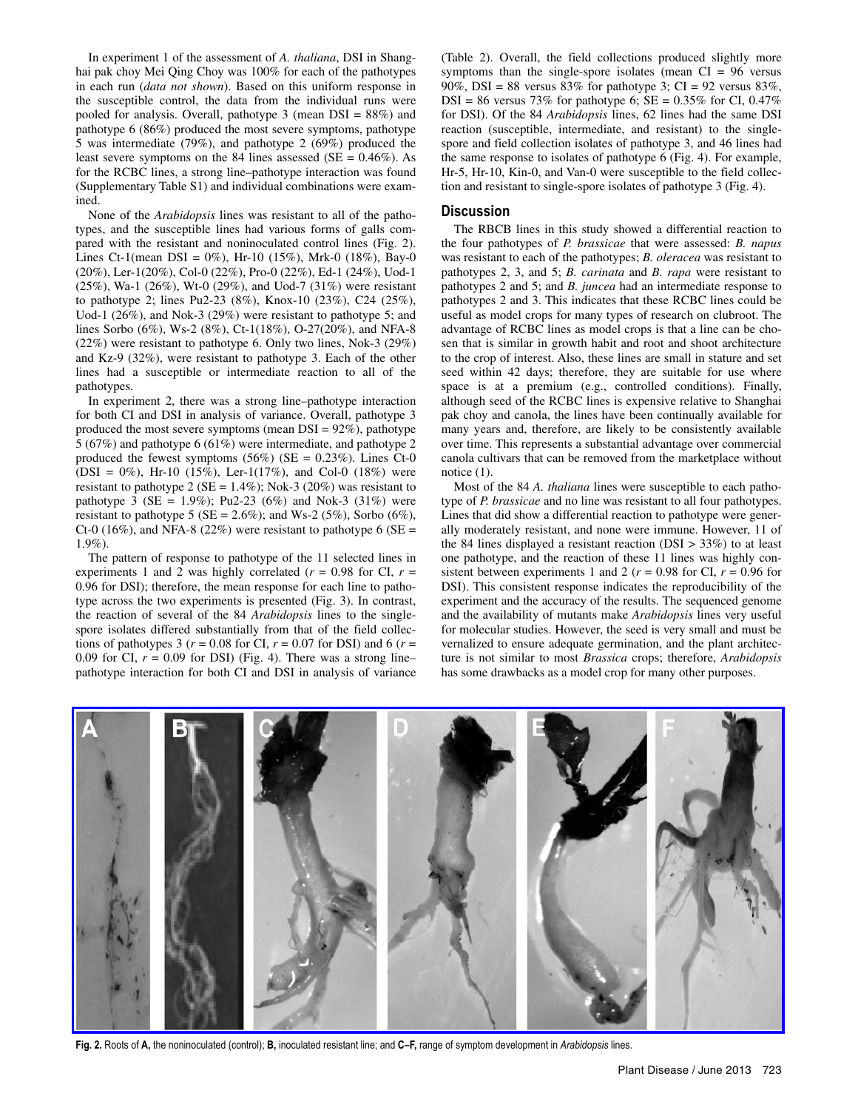In experiment 1 of the assessment of *A. thaliana*, DSI in Shanghai pak choy Mei Qing Choy was 100% for each of the pathotypes in each run (*data not shown*). Based on this uniform response in the susceptible control, the data from the individual runs were pooled for analysis. Overall, pathotype 3 (mean DSI = 88%) and pathotype 6 (86%) produced the most severe symptoms, pathotype 5 was intermediate (79%), and pathotype 2 (69%) produced the least severe symptoms on the 84 lines assessed ( $SE = 0.46\%$ ). As for the RCBC lines, a strong line–pathotype interaction was found (Supplementary Table S1) and individual combinations were examined.

None of the *Arabidopsis* lines was resistant to all of the pathotypes, and the susceptible lines had various forms of galls compared with the resistant and noninoculated control lines (Fig. 2). Lines Ct-1(mean DSI = 0%), Hr-10 (15%), Mrk-0 (18%), Bay-0 (20%), Ler-1(20%), Col-0 (22%), Pro-0 (22%), Ed-1 (24%), Uod-1 (25%), Wa-1 (26%), Wt-0 (29%), and Uod-7 (31%) were resistant to pathotype 2; lines Pu2-23 (8%), Knox-10 (23%), C24 (25%), Uod-1 (26%), and Nok-3 (29%) were resistant to pathotype 5; and lines Sorbo (6%), Ws-2 (8%), Ct-1(18%), O-27(20%), and NFA-8 (22%) were resistant to pathotype 6. Only two lines, Nok-3 (29%) and Kz-9 (32%), were resistant to pathotype 3. Each of the other lines had a susceptible or intermediate reaction to all of the pathotypes.

In experiment 2, there was a strong line–pathotype interaction for both CI and DSI in analysis of variance. Overall, pathotype 3 produced the most severe symptoms (mean  $DSI = 92\%$ ), pathotype 5 (67%) and pathotype 6 (61%) were intermediate, and pathotype 2 produced the fewest symptoms  $(56%)$  (SE = 0.23%). Lines Ct-0  $(DSI = 0\%)$ , Hr-10 (15%), Ler-1(17%), and Col-0 (18%) were resistant to pathotype 2 ( $SE = 1.4\%$ ); Nok-3 (20%) was resistant to pathotype  $3$  (SE = 1.9%); Pu2-23 (6%) and Nok-3 (31%) were resistant to pathotype 5 (SE = 2.6%); and Ws-2 (5%), Sorbo (6%), Ct-0 (16%), and NFA-8 (22%) were resistant to pathotype 6 (SE = 1.9%).

The pattern of response to pathotype of the 11 selected lines in experiments 1 and 2 was highly correlated  $(r = 0.98$  for CI,  $r =$ 0.96 for DSI); therefore, the mean response for each line to pathotype across the two experiments is presented (Fig. 3). In contrast, the reaction of several of the 84 *Arabidopsis* lines to the singlespore isolates differed substantially from that of the field collections of pathotypes 3 ( $r = 0.08$  for CI,  $r = 0.07$  for DSI) and 6 ( $r =$ 0.09 for CI,  $r = 0.09$  for DSI) (Fig. 4). There was a strong line– pathotype interaction for both CI and DSI in analysis of variance (Table 2). Overall, the field collections produced slightly more symptoms than the single-spore isolates (mean  $CI = 96$  versus 90%, DSI = 88 versus 83% for pathotype 3; CI = 92 versus 83%,  $DSI = 86$  versus 73% for pathotype 6;  $SE = 0.35\%$  for CI, 0.47% for DSI). Of the 84 *Arabidopsis* lines, 62 lines had the same DSI reaction (susceptible, intermediate, and resistant) to the singlespore and field collection isolates of pathotype 3, and 46 lines had the same response to isolates of pathotype 6 (Fig. 4). For example, Hr-5, Hr-10, Kin-0, and Van-0 were susceptible to the field collection and resistant to single-spore isolates of pathotype 3 (Fig. 4).

## **Discussion**

The RBCB lines in this study showed a differential reaction to the four pathotypes of *P. brassicae* that were assessed: *B. napus* was resistant to each of the pathotypes; *B. oleracea* was resistant to pathotypes 2, 3, and 5; *B. carinata* and *B. rapa* were resistant to pathotypes 2 and 5; and *B. juncea* had an intermediate response to pathotypes 2 and 3. This indicates that these RCBC lines could be useful as model crops for many types of research on clubroot. The advantage of RCBC lines as model crops is that a line can be chosen that is similar in growth habit and root and shoot architecture to the crop of interest. Also, these lines are small in stature and set seed within 42 days; therefore, they are suitable for use where space is at a premium (e.g., controlled conditions). Finally, although seed of the RCBC lines is expensive relative to Shanghai pak choy and canola, the lines have been continually available for many years and, therefore, are likely to be consistently available over time. This represents a substantial advantage over commercial canola cultivars that can be removed from the marketplace without notice  $(1)$ .

Most of the 84 *A. thaliana* lines were susceptible to each pathotype of *P. brassicae* and no line was resistant to all four pathotypes. Lines that did show a differential reaction to pathotype were generally moderately resistant, and none were immune. However, 11 of the 84 lines displayed a resistant reaction ( $DSI > 33\%$ ) to at least one pathotype, and the reaction of these 11 lines was highly consistent between experiments 1 and 2 ( $r = 0.98$  for CI,  $r = 0.96$  for DSI). This consistent response indicates the reproducibility of the experiment and the accuracy of the results. The sequenced genome and the availability of mutants make *Arabidopsis* lines very useful for molecular studies. However, the seed is very small and must be vernalized to ensure adequate germination, and the plant architecture is not similar to most *Brassica* crops; therefore, *Arabidopsis* has some drawbacks as a model crop for many other purposes.



**Fig. 2.** Roots of **A,** the noninoculated (control); **B,** inoculated resistant line; and **C–F,** range of symptom development in *Arabidopsis* lines.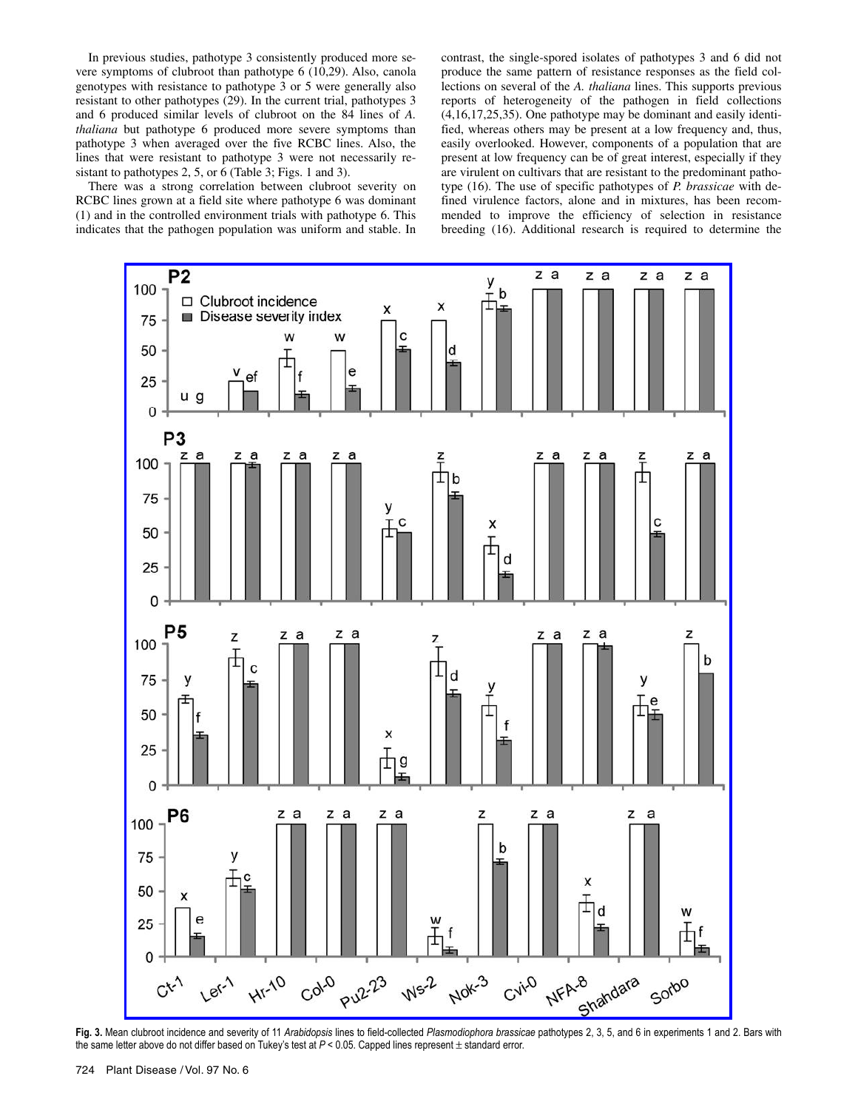In previous studies, pathotype 3 consistently produced more severe symptoms of clubroot than pathotype 6 (10,29). Also, canola genotypes with resistance to pathotype 3 or 5 were generally also resistant to other pathotypes (29). In the current trial, pathotypes 3 and 6 produced similar levels of clubroot on the 84 lines of *A. thaliana* but pathotype 6 produced more severe symptoms than pathotype 3 when averaged over the five RCBC lines. Also, the lines that were resistant to pathotype 3 were not necessarily resistant to pathotypes 2, 5, or 6 (Table 3; Figs. 1 and 3).

There was a strong correlation between clubroot severity on RCBC lines grown at a field site where pathotype 6 was dominant (1) and in the controlled environment trials with pathotype 6. This indicates that the pathogen population was uniform and stable. In contrast, the single-spored isolates of pathotypes 3 and 6 did not produce the same pattern of resistance responses as the field collections on several of the *A. thaliana* lines. This supports previous reports of heterogeneity of the pathogen in field collections (4,16,17,25,35). One pathotype may be dominant and easily identified, whereas others may be present at a low frequency and, thus, easily overlooked. However, components of a population that are present at low frequency can be of great interest, especially if they are virulent on cultivars that are resistant to the predominant pathotype (16). The use of specific pathotypes of *P. brassicae* with defined virulence factors, alone and in mixtures, has been recommended to improve the efficiency of selection in resistance breeding (16). Additional research is required to determine the



**Fig. 3.** Mean clubroot incidence and severity of 11 *Arabidopsis* lines to field-collected *Plasmodiophora brassicae* pathotypes 2, 3, 5, and 6 in experiments 1 and 2. Bars with the same letter above do not differ based on Tukey's test at  $P < 0.05$ . Capped lines represent  $\pm$  standard error.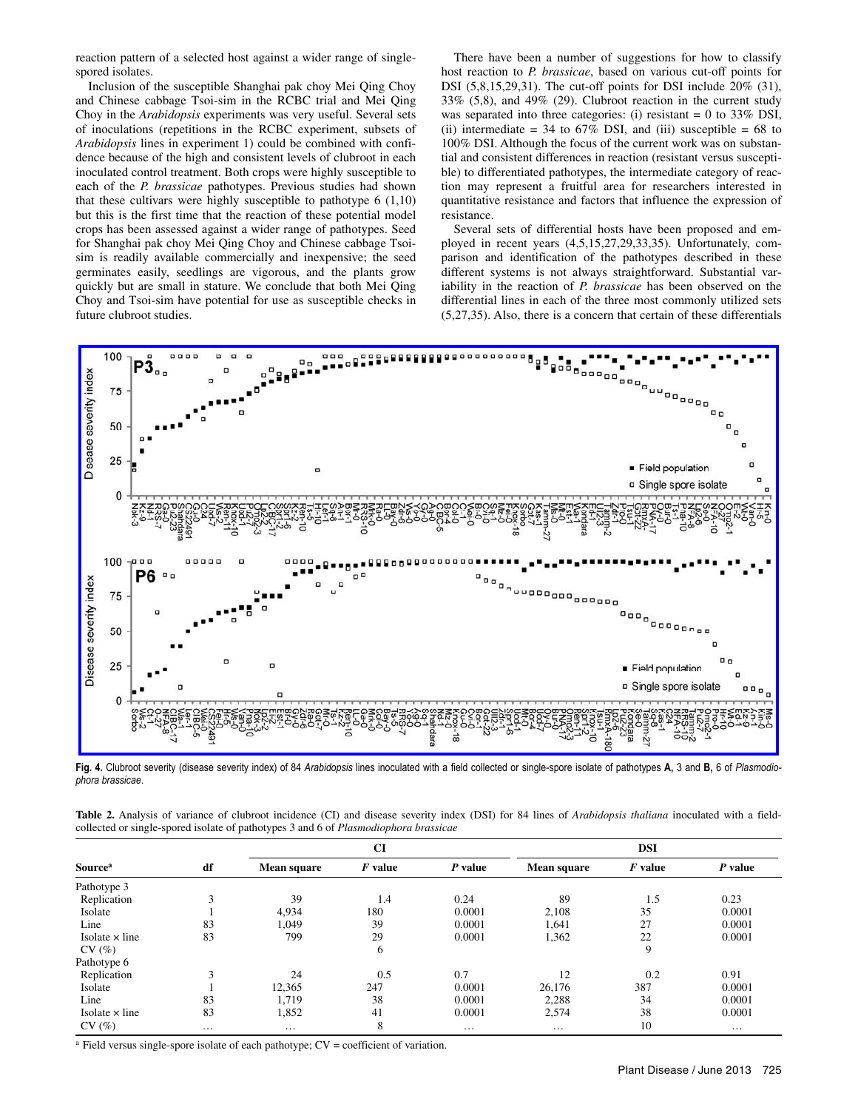reaction pattern of a selected host against a wider range of singlespored isolates.

Inclusion of the susceptible Shanghai pak choy Mei Qing Choy and Chinese cabbage Tsoi-sim in the RCBC trial and Mei Qing Choy in the *Arabidopsis* experiments was very useful. Several sets of inoculations (repetitions in the RCBC experiment, subsets of *Arabidopsis* lines in experiment 1) could be combined with confidence because of the high and consistent levels of clubroot in each inoculated control treatment. Both crops were highly susceptible to each of the *P. brassicae* pathotypes. Previous studies had shown that these cultivars were highly susceptible to pathotype 6 (1,10) but this is the first time that the reaction of these potential model crops has been assessed against a wider range of pathotypes. Seed for Shanghai pak choy Mei Qing Choy and Chinese cabbage Tsoisim is readily available commercially and inexpensive; the seed germinates easily, seedlings are vigorous, and the plants grow quickly but are small in stature. We conclude that both Mei Qing Choy and Tsoi-sim have potential for use as susceptible checks in future clubroot studies.

There have been a number of suggestions for how to classify host reaction to *P. brassicae*, based on various cut-off points for DSI (5,8,15,29,31). The cut-off points for DSI include 20% (31), 33% (5,8), and 49% (29). Clubroot reaction in the current study was separated into three categories: (i) resistant  $= 0$  to 33% DSI, (ii) intermediate = 34 to  $67\%$  DSI, and (iii) susceptible = 68 to 100% DSI. Although the focus of the current work was on substantial and consistent differences in reaction (resistant versus susceptible) to differentiated pathotypes, the intermediate category of reaction may represent a fruitful area for researchers interested in quantitative resistance and factors that influence the expression of resistance.

Several sets of differential hosts have been proposed and employed in recent years (4,5,15,27,29,33,35). Unfortunately, comparison and identification of the pathotypes described in these different systems is not always straightforward. Substantial variability in the reaction of *P. brassicae* has been observed on the differential lines in each of the three most commonly utilized sets (5,27,35). Also, there is a concern that certain of these differentials



**Fig. 4.** Clubroot severity (disease severity index) of 84 *Arabidopsis* lines inoculated with a field collected or single-spore isolate of pathotypes **A,** 3 and **B,** 6 of *Plasmodiophora brassicae*.

**Table 2.** Analysis of variance of clubroot incidence (CI) and disease severity index (DSI) for 84 lines of *Arabidopsis thaliana* inoculated with a fieldcollected or single-spored isolate of pathotypes 3 and 6 of *Plasmodiophora brassicae*

| <b>Source</b> <sup>a</sup> | df | CI                 |           |           | <b>DSI</b>  |           |          |  |
|----------------------------|----|--------------------|-----------|-----------|-------------|-----------|----------|--|
|                            |    | <b>Mean square</b> | $F$ value | $P$ value | Mean square | $F$ value | P value  |  |
| Pathotype 3                |    |                    |           |           |             |           |          |  |
| Replication                | 3  | 39                 | 1.4       | 0.24      | 89          | 1.5       | 0.23     |  |
| Isolate                    |    | 4,934              | 180       | 0.0001    | 2,108       | 35        | 0.0001   |  |
| Line                       | 83 | 1,049              | 39        | 0.0001    | 1,641       | 27        | 0.0001   |  |
| Isolate $\times$ line      | 83 | 799                | 29        | 0.0001    | 1,362       | 22        | 0.0001   |  |
| CV(%)                      |    |                    | 6         |           |             | 9         |          |  |
| Pathotype 6                |    |                    |           |           |             |           |          |  |
| Replication                | 3  | 24                 | 0.5       | 0.7       | 12          | 0.2       | 0.91     |  |
| Isolate                    |    | 12,365             | 247       | 0.0001    | 26.176      | 387       | 0.0001   |  |
| Line                       | 83 | 1,719              | 38        | 0.0001    | 2,288       | 34        | 0.0001   |  |
| Isolate $\times$ line      | 83 | 1,852              | 41        | 0.0001    | 2,574       | 38        | 0.0001   |  |
| CV(%)                      | .  | $\cdots$           | 8         | $\cdots$  | $\cdots$    | 10        | $\cdots$ |  |

a Field versus single-spore isolate of each pathotype; CV = coefficient of variation.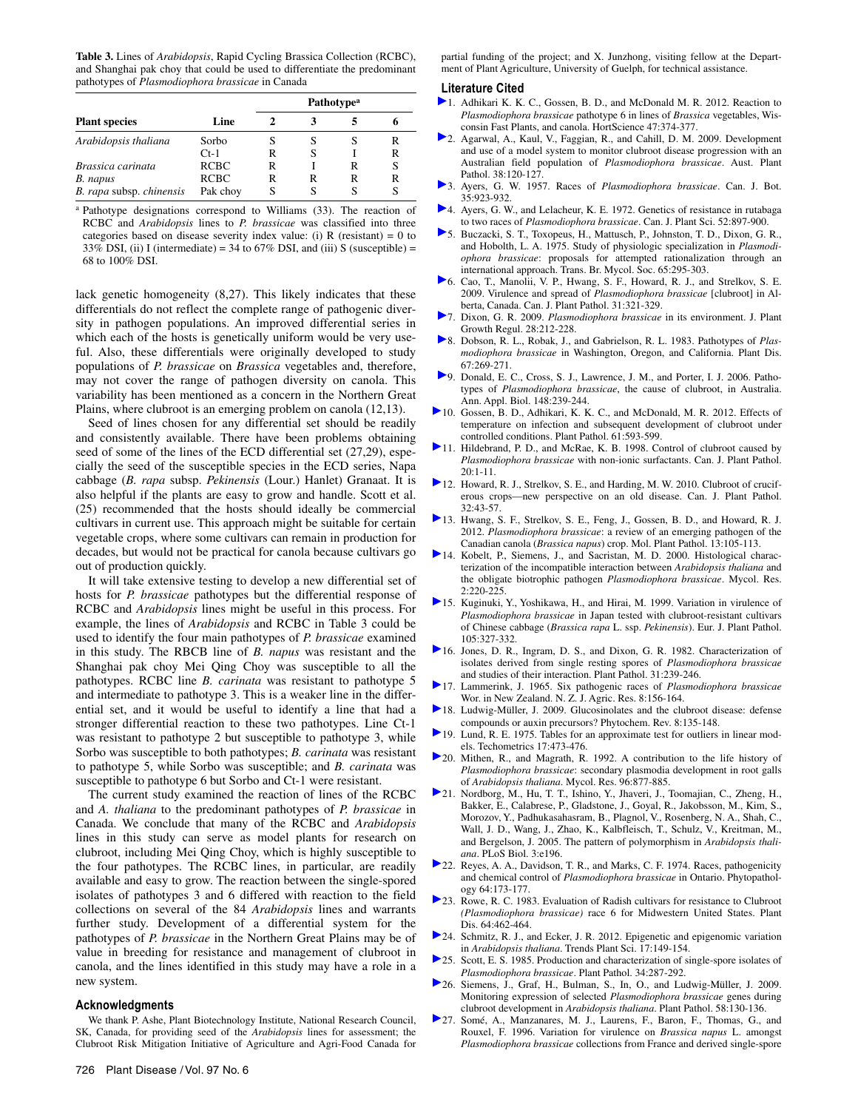**Table 3.** Lines of *Arabidopsis*, Rapid Cycling Brassica Collection (RCBC), and Shanghai pak choy that could be used to differentiate the predominant pathotypes of *Plasmodiophora brassicae* in Canada

|                                      |                  | <b>Pathotype<sup>a</sup></b> |        |   |        |  |
|--------------------------------------|------------------|------------------------------|--------|---|--------|--|
| <b>Plant species</b>                 | Line             |                              |        |   |        |  |
| Arabidopsis thaliana                 | Sorbo<br>$Ct-1$  | R                            | S<br>S |   | R<br>R |  |
| Brassica carinata                    | <b>RCBC</b>      | R                            |        | R | S      |  |
| B. napus<br>B. rapa subsp. chinensis | RCBC<br>Pak choy | R                            | R<br>S | R | R<br>S |  |

a Pathotype designations correspond to Williams (33). The reaction of RCBC and *Arabidopsis* lines to *P. brassicae* was classified into three categories based on disease severity index value: (i)  $R$  (resistant) = 0 to 33% DSI, (ii) I (intermediate) = 34 to 67% DSI, and (iii) S (susceptible) = 68 to 100% DSI.

lack genetic homogeneity (8,27). This likely indicates that these differentials do not reflect the complete range of pathogenic diversity in pathogen populations. An improved differential series in which each of the hosts is genetically uniform would be very useful. Also, these differentials were originally developed to study populations of *P. brassicae* on *Brassica* vegetables and, therefore, may not cover the range of pathogen diversity on canola. This variability has been mentioned as a concern in the Northern Great Plains, where clubroot is an emerging problem on canola (12,13).

Seed of lines chosen for any differential set should be readily and consistently available. There have been problems obtaining seed of some of the lines of the ECD differential set (27,29), especially the seed of the susceptible species in the ECD series, Napa cabbage (*B. rapa* subsp. *Pekinensis* (Lour.) Hanlet) Granaat. It is also helpful if the plants are easy to grow and handle. Scott et al. (25) recommended that the hosts should ideally be commercial cultivars in current use. This approach might be suitable for certain vegetable crops, where some cultivars can remain in production for decades, but would not be practical for canola because cultivars go out of production quickly.

It will take extensive testing to develop a new differential set of hosts for *P. brassicae* pathotypes but the differential response of RCBC and *Arabidopsis* lines might be useful in this process. For example, the lines of *Arabidopsis* and RCBC in Table 3 could be used to identify the four main pathotypes of *P. brassicae* examined in this study. The RBCB line of *B. napus* was resistant and the Shanghai pak choy Mei Qing Choy was susceptible to all the pathotypes. RCBC line *B. carinata* was resistant to pathotype 5 and intermediate to pathotype 3. This is a weaker line in the differential set, and it would be useful to identify a line that had a stronger differential reaction to these two pathotypes. Line Ct-1 was resistant to pathotype 2 but susceptible to pathotype 3, while Sorbo was susceptible to both pathotypes; *B. carinata* was resistant to pathotype 5, while Sorbo was susceptible; and *B. carinata* was susceptible to pathotype 6 but Sorbo and Ct-1 were resistant.

The current study examined the reaction of lines of the RCBC and *A. thaliana* to the predominant pathotypes of *P. brassicae* in Canada. We conclude that many of the RCBC and *Arabidopsis* lines in this study can serve as model plants for research on clubroot, including Mei Qing Choy, which is highly susceptible to the four pathotypes. The RCBC lines, in particular, are readily available and easy to grow. The reaction between the single-spored isolates of pathotypes 3 and 6 differed with reaction to the field collections on several of the 84 *Arabidopsis* lines and warrants further study. Development of a differential system for the pathotypes of *P. brassicae* in the Northern Great Plains may be of value in breeding for resistance and management of clubroot in canola, and the lines identified in this study may have a role in a new system.

#### **Acknowledgments**

We thank P. Ashe, Plant Biotechnology Institute, National Research Council, SK, Canada, for providing seed of the *Arabidopsis* lines for assessment; the Clubroot Risk Mitigation Initiative of Agriculture and Agri-Food Canada for partial funding of the project; and X. Junzhong, visiting fellow at the Department of Plant Agriculture, University of Guelph, for technical assistance.

#### **Literature Cited**

- 1. Adhikari K. K. C., Gossen, B. D., and McDonald M. R. 2012. Reaction to *Plasmodiophora brassicae* pathotype 6 in lines of *Brassica* vegetables, Wisconsin Fast Plants, and canola. HortScience 47:374-377.
- 2. Agarwal, A., Kaul, V., Faggian, R., and Cahill, D. M. 2009. Development and use of a model system to monitor clubroot disease progression with an Australian field population of *Plasmodiophora brassicae*. Aust. Plant Pathol. 38:120-127.
- 3. Ayers, G. W. 1957. Races of *Plasmodiophora brassicae*. Can. J. Bot. 35:923-932.
- 4. Ayers, G. W., and Lelacheur, K. E. 1972. Genetics of resistance in rutabaga to two races of *Plasmodiophora brassicae*. Can. J. Plant Sci. 52:897-900.
- 5. Buczacki, S. T., Toxopeus, H., Mattusch, P., Johnston, T. D., Dixon, G. R., and Hobolth, L. A. 1975. Study of physiologic specialization in *Plasmodiophora brassicae*: proposals for attempted rationalization through an international approach. Trans. Br. Mycol. Soc. 65:295-303.
- 6. Cao, T., Manolii, V. P., Hwang, S. F., Howard, R. J., and Strelkov, S. E. 2009. Virulence and spread of *Plasmodiophora brassicae* [clubroot] in Alberta, Canada. Can. J. Plant Pathol. 31:321-329.
- 7. Dixon, G. R. 2009. *Plasmodiophora brassicae* in its environment. J. Plant Growth Regul. 28:212-228.
- 8. Dobson, R. L., Robak, J., and Gabrielson, R. L. 1983. Pathotypes of *Plasmodiophora brassicae* in Washington, Oregon, and California. Plant Dis. 67:269-271.
- 9. Donald, E. C., Cross, S. J., Lawrence, J. M., and Porter, I. J. 2006. Pathotypes of *Plasmodiophora brassicae*, the cause of clubroot, in Australia. Ann. Appl. Biol. 148:239-244.
- 10. Gossen, B. D., Adhikari, K. K. C., and McDonald, M. R. 2012. Effects of temperature on infection and subsequent development of clubroot under controlled conditions. Plant Pathol. 61:593-599.
- 11. Hildebrand, P. D., and McRae, K. B. 1998. Control of clubroot caused by *Plasmodiophora brassicae* with non-ionic surfactants. Can. J. Plant Pathol. 20:1-11.
- 12. Howard, R. J., Strelkov, S. E., and Harding, M. W. 2010. Clubroot of cruciferous crops—new perspective on an old disease. Can. J. Plant Pathol. 32:43-57.
- 13. Hwang, S. F., Strelkov, S. E., Feng, J., Gossen, B. D., and Howard, R. J. 2012. *Plasmodiophora brassicae*: a review of an emerging pathogen of the Canadian canola (*Brassica napus*) crop. Mol. Plant Pathol. 13:105-113.
- 14. Kobelt, P., Siemens, J., and Sacristan, M. D. 2000. Histological characterization of the incompatible interaction between *Arabidopsis thaliana* and the obligate biotrophic pathogen *Plasmodiophora brassicae*. Mycol. Res. 2:220-225.
- 15. Kuginuki, Y., Yoshikawa, H., and Hirai, M. 1999. Variation in virulence of *Plasmodiophora brassicae* in Japan tested with clubroot-resistant cultivars of Chinese cabbage (*Brassica rapa* L. ssp. *Pekinensis*). Eur. J. Plant Pathol. 105:327-332.
- 16. Jones, D. R., Ingram, D. S., and Dixon, G. R. 1982. Characterization of isolates derived from single resting spores of *Plasmodiophora brassicae* and studies of their interaction. Plant Pathol. 31:239-246.
- 17. Lammerink, J. 1965. Six pathogenic races of *Plasmodiophora brassicae* Wor. in New Zealand. N. Z. J. Agric. Res. 8:156-164.
- 18. Ludwig-Müller, J. 2009. Glucosinolates and the clubroot disease: defense compounds or auxin precursors? Phytochem. Rev. 8:135-148.
- 19. Lund, R. E. 1975. Tables for an approximate test for outliers in linear models. Techometrics 17:473-476.
- 20. Mithen, R., and Magrath, R. 1992. A contribution to the life history of *Plasmodiophora brassicae*: secondary plasmodia development in root galls of *Arabidopsis thaliana*. Mycol. Res. 96:877-885.
- 21. Nordborg, M., Hu, T. T., Ishino, Y., Jhaveri, J., Toomajian, C., Zheng, H., Bakker, E., Calabrese, P., Gladstone, J., Goyal, R., Jakobsson, M., Kim, S., Morozov, Y., Padhukasahasram, B., Plagnol, V., Rosenberg, N. A., Shah, C., Wall, J. D., Wang, J., Zhao, K., Kalbfleisch, T., Schulz, V., Kreitman, M., and Bergelson, J. 2005. The pattern of polymorphism in *Arabidopsis thaliana*. PLoS Biol. 3:e196.
- 22. Reyes, A. A., Davidson, T. R., and Marks, C. F. 1974. Races, pathogenicity and chemical control of *Plasmodiophora brassicae* in Ontario. Phytopathology 64:173-177.
- 23. Rowe, R. C. 1983. Evaluation of Radish cultivars for resistance to Clubroot *(Plasmodiophora brassicae)* race 6 for Midwestern United States. Plant Dis. 64:462-464.
- 24. Schmitz, R. J., and Ecker, J. R. 2012. Epigenetic and epigenomic variation in *Arabidopsis thaliana*. Trends Plant Sci. 17:149-154.
- 25. Scott, E. S. 1985. Production and characterization of single-spore isolates of *Plasmodiophora brassicae*. Plant Pathol. 34:287-292.
- 26. Siemens, J., Graf, H., Bulman, S., In, O., and Ludwig-Müller, J. 2009. Monitoring expression of selected *Plasmodiophora brassicae* genes during clubroot development in *Arabidopsis thaliana*. Plant Pathol. 58:130-136.
- 27. Somé, A., Manzanares, M. J., Laurens, F., Baron, F., Thomas, G., and Rouxel, F. 1996. Variation for virulence on *Brassica napus* L. amongst *Plasmodiophora brassicae* collections from France and derived single-spore